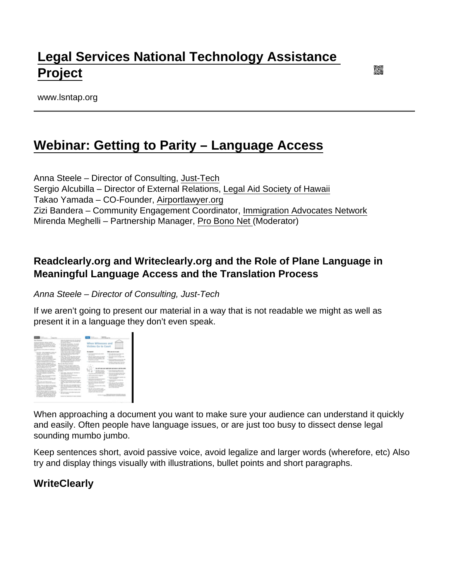# [Legal Services National Technology Assistance](https://www.lsntap.org/)  [Project](https://www.lsntap.org/)

www.lsntap.org

## [Webinar: Getting to Parity – Language Access](https://www.lsntap.org/node/159/webinar-getting-parity-–-language-access)

Anna Steele – Director of Consulting, [Just-Tech](https://justtech.com/) Sergio Alcubilla – Director of External Relations, [Legal Aid Society of Hawaii](https://www.legalaidhawaii.org/) Takao Yamada – CO-Founder, [Airportlawyer.org](http://www.Airportlawyer.org) Zizi Bandera – Community Engagement Coordinator, [Immigration Advocates Network](https://www.immigrationadvocates.org/) Mirenda Meghelli – Partnership Manager, [Pro Bono Net \(](https://www.probono.net/)Moderator)

### Readclearly.org and Writeclearly.org and the Role of Plane Language in Meaningful Language Access and the Translation Process

Anna Steele – Director of Consulting, Just-Tech

If we aren't going to present our material in a way that is not readable we might as well as present it in a language they don't even speak.

When approaching a document you want to make sure your audience can understand it quickly and easily. Often people have language issues, or are just too busy to dissect dense legal sounding mumbo jumbo.

Keep sentences short, avoid passive voice, avoid legalize and larger words (wherefore, etc) Also try and display things visually with illustrations, bullet points and short paragraphs.

**WriteClearly**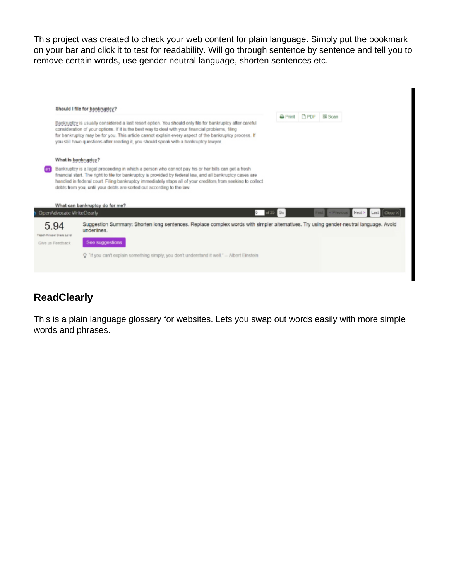This project was created to check your web content for plain language. Simply put the bookmark on your bar and click it to test for readability. Will go through sentence by sentence and tell you to remove certain words, use gender neutral language, shorten sentences etc.



## **ReadClearly**

This is a plain language glossary for websites. Lets you swap out words easily with more simple words and phrases.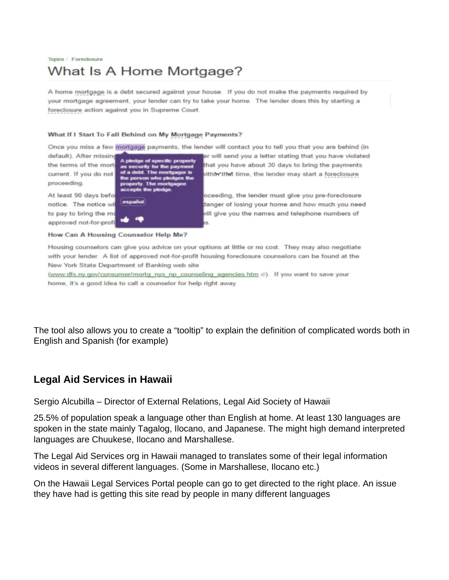#### Topics / Foreclosure What Is A Home Mortgage?

A home mortgage is a debt secured against your house. If you do not make the payments required by your mortgage agreement, your lender can try to take your home. The lender does this by starting a foreclosure action against you in Supreme Court.

#### What If I Start To Fall Behind on My Mortgage Payments?

Once you miss a few mortgage payments, the lender will contact you to tell you that you are behind (in

default). After missing the terms of the mort current. If you do not proceeding.

At least 90 days befo notice. The notice wi to pay to bring the mo approved not-for-profi

 $b$ . The  $m$ of a di

How Can A Housing Counselor Help Me?

er will send you a letter stating that you have violated that you have about 30 days to bring the payments vithin that time, the lender may start a foreclosure

oceeding, the lender must give you pre-foreclosure danger of losing your home and how much you need vill give you the names and telephone numbers of

Housing counselors can give you advice on your options at little or no cost. They may also negotiate with your lender. A list of approved not-for-profit housing foreclosure counselors can be found at the New York State Department of Banking web site

(www.dfs.ny.gov/consumer/mortg\_nys\_np\_counseling\_agencies.htm @). If you want to save your home, it's a good idea to call a counselor for help right away.

The tool also allows you to create a "tooltip" to explain the definition of complicated words both in English and Spanish (for example)

#### **Legal Aid Services in Hawaii**

Sergio Alcubilla – Director of External Relations, Legal Aid Society of Hawaii

25.5% of population speak a language other than English at home. At least 130 languages are spoken in the state mainly Tagalog, Ilocano, and Japanese. The might high demand interpreted languages are Chuukese, Ilocano and Marshallese.

The Legal Aid Services org in Hawaii managed to translates some of their legal information videos in several different languages. (Some in Marshallese, Ilocano etc.)

On the Hawaii Legal Services Portal people can go to get directed to the right place. An issue they have had is getting this site read by people in many different languages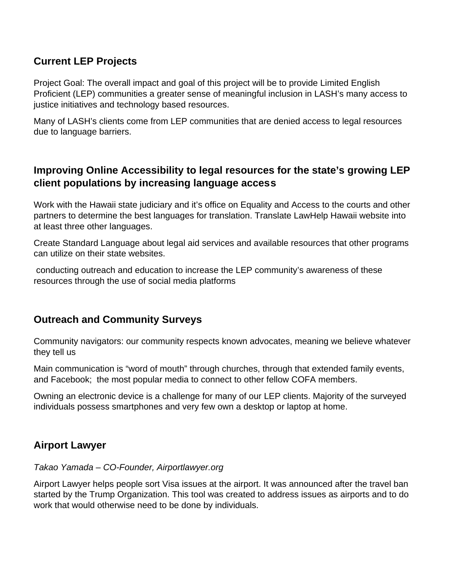## **Current LEP Projects**

Project Goal: The overall impact and goal of this project will be to provide Limited English Proficient (LEP) communities a greater sense of meaningful inclusion in LASH's many access to justice initiatives and technology based resources.

Many of LASH's clients come from LEP communities that are denied access to legal resources due to language barriers.

## **Improving Online Accessibility to legal resources for the state's growing LEP client populations by increasing language access**

Work with the Hawaii state judiciary and it's office on Equality and Access to the courts and other partners to determine the best languages for translation. Translate LawHelp Hawaii website into at least three other languages.

Create Standard Language about legal aid services and available resources that other programs can utilize on their state websites.

 conducting outreach and education to increase the LEP community's awareness of these resources through the use of social media platforms

#### **Outreach and Community Surveys**

Community navigators: our community respects known advocates, meaning we believe whatever they tell us

Main communication is "word of mouth" through churches, through that extended family events, and Facebook; the most popular media to connect to other fellow COFA members.

Owning an electronic device is a challenge for many of our LEP clients. Majority of the surveyed individuals possess smartphones and very few own a desktop or laptop at home.

#### **Airport Lawyer**

#### Takao Yamada – CO-Founder, Airportlawyer.org

Airport Lawyer helps people sort Visa issues at the airport. It was announced after the travel ban started by the Trump Organization. This tool was created to address issues as airports and to do work that would otherwise need to be done by individuals.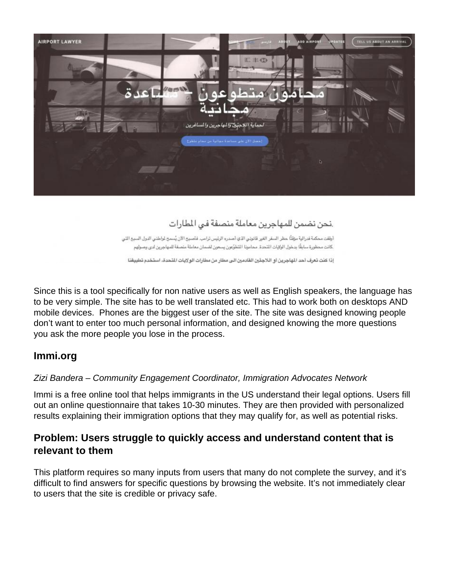

## .نحن نضمن للمهاجرين معاملة منصفة في المطارات

أوقفت محكمة فدرالية مؤقتًا حظر السفر الغير قانوني الذي أصدره الرئيس ترامب. فأصبح الآن يُسمح لواطني الدول السبع التي كانت محظورة سابقًا بدخول الولايات الشحدة. محامونا التطوّعون يسعون لضمان معاملة منصفة للمهاجرين لدى وصولهم

إذا كنت تعرف أحد الهاجرين أو اللاجئين القادمين الى مطار من مطارات الولايات المتحدة، استخدم تطبيقنا

Since this is a tool specifically for non native users as well as English speakers, the language has to be very simple. The site has to be well translated etc. This had to work both on desktops AND mobile devices. Phones are the biggest user of the site. The site was designed knowing people don't want to enter too much personal information, and designed knowing the more questions you ask the more people you lose in the process.

#### **Immi.org**

#### Zizi Bandera – Community Engagement Coordinator, Immigration Advocates Network

Immi is a free online tool that helps immigrants in the US understand their legal options. Users fill out an online questionnaire that takes 10-30 minutes. They are then provided with personalized results explaining their immigration options that they may qualify for, as well as potential risks.

#### **Problem: Users struggle to quickly access and understand content that is relevant to them**

This platform requires so many inputs from users that many do not complete the survey, and it's difficult to find answers for specific questions by browsing the website. It's not immediately clear to users that the site is credible or privacy safe.